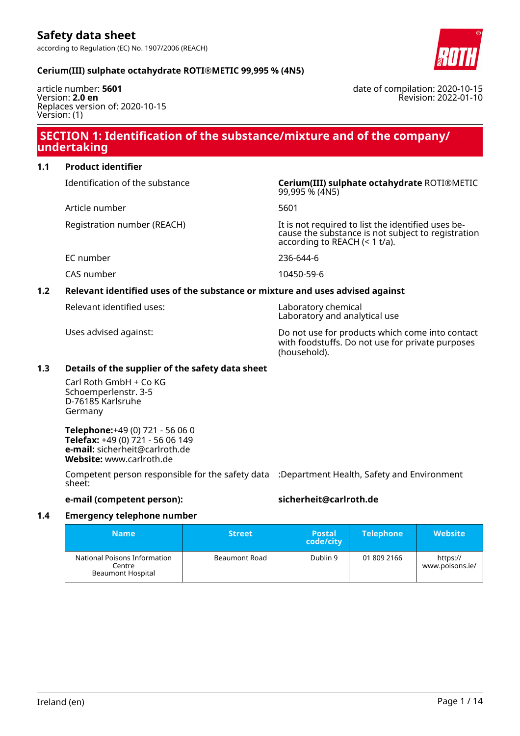#### **Cerium(III) sulphate octahydrate ROTI®METIC 99,995 % (4N5)**

article number: **5601** Version: **2.0 en** Replaces version of: 2020-10-15 Version: (1)

#### date of compilation: 2020-10-15 Revision: 2022-01-10

### **SECTION 1: Identification of the substance/mixture and of the company/ undertaking**

#### **1.1 Product identifier**

Article number 5601

Identification of the substance **Cerium(III) sulphate octahydrate** ROTI®METIC 99,995 % (4N5)

Registration number (REACH) It is not required to list the identified uses because the substance is not subject to registration according to REACH (< 1 t/a).

EC number 236-644-6

CAS number 10450-59-6

#### **1.2 Relevant identified uses of the substance or mixture and uses advised against**

Relevant identified uses: Laboratory chemical

Laboratory and analytical use

Uses advised against: Do not use for products which come into contact with foodstuffs. Do not use for private purposes (household).

#### **1.3 Details of the supplier of the safety data sheet**

Carl Roth GmbH + Co KG Schoemperlenstr. 3-5 D-76185 Karlsruhe Germany

**Telephone:**+49 (0) 721 - 56 06 0 **Telefax:** +49 (0) 721 - 56 06 149 **e-mail:** sicherheit@carlroth.de **Website:** www.carlroth.de

Competent person responsible for the safety data :Department Health, Safety and Environment sheet:

**e-mail (competent person): sicherheit@carlroth.de**

#### **1.4 Emergency telephone number**

| <b>Name</b>                                                        | <b>Street</b>        | <b>Postal</b><br>code/city | <b>Telephone</b> | <b>Website</b>              |
|--------------------------------------------------------------------|----------------------|----------------------------|------------------|-----------------------------|
| National Poisons Information<br>Centre<br><b>Beaumont Hospital</b> | <b>Beaumont Road</b> | Dublin 9                   | 01 809 2166      | https://<br>www.poisons.ie/ |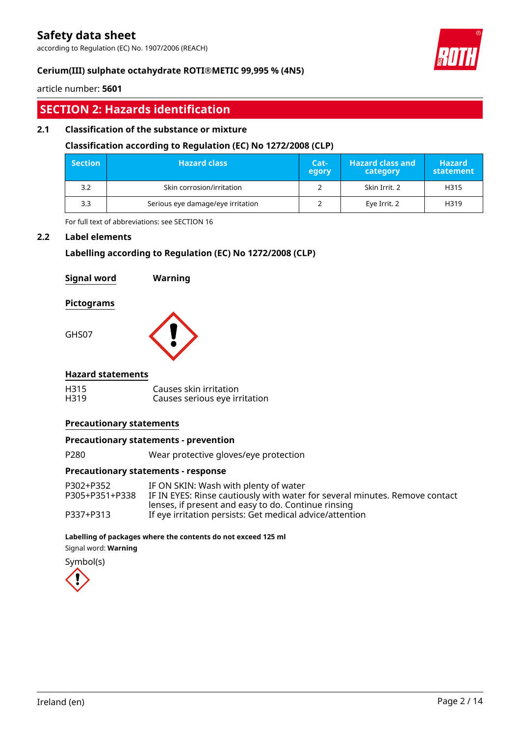according to Regulation (EC) No. 1907/2006 (REACH)



#### **Cerium(III) sulphate octahydrate ROTI®METIC 99,995 % (4N5)**

article number: **5601**

# **SECTION 2: Hazards identification**

#### **2.1 Classification of the substance or mixture**

#### **Classification according to Regulation (EC) No 1272/2008 (CLP)**

| <b>Section</b> | <b>Hazard class</b>               | $Cat-$<br>egory | <b>Hazard class and</b><br>category | <b>Hazard</b><br>statement |
|----------------|-----------------------------------|-----------------|-------------------------------------|----------------------------|
| 3.2            | Skin corrosion/irritation         |                 | Skin Irrit. 2                       | H315                       |
| 3.3            | Serious eye damage/eye irritation |                 | Eye Irrit. 2                        | H319                       |

For full text of abbreviations: see SECTION 16

#### **2.2 Label elements**

#### **Labelling according to Regulation (EC) No 1272/2008 (CLP)**

| <b>Signal word</b> | Warning |
|--------------------|---------|
|--------------------|---------|

#### **Pictograms**

GHS07



#### **Hazard statements**

| H315 | Causes skin irritation        |
|------|-------------------------------|
| H319 | Causes serious eye irritation |

#### **Precautionary statements**

#### **Precautionary statements - prevention**

P280 Wear protective gloves/eye protection

#### **Precautionary statements - response**

| P302+P352      | IF ON SKIN: Wash with plenty of water                                       |
|----------------|-----------------------------------------------------------------------------|
| P305+P351+P338 | IF IN EYES: Rinse cautiously with water for several minutes. Remove contact |
|                | lenses, if present and easy to do. Continue rinsing                         |
| P337+P313      | If eye irritation persists: Get medical advice/attention                    |

#### **Labelling of packages where the contents do not exceed 125 ml**

Signal word: **Warning**

Symbol(s)

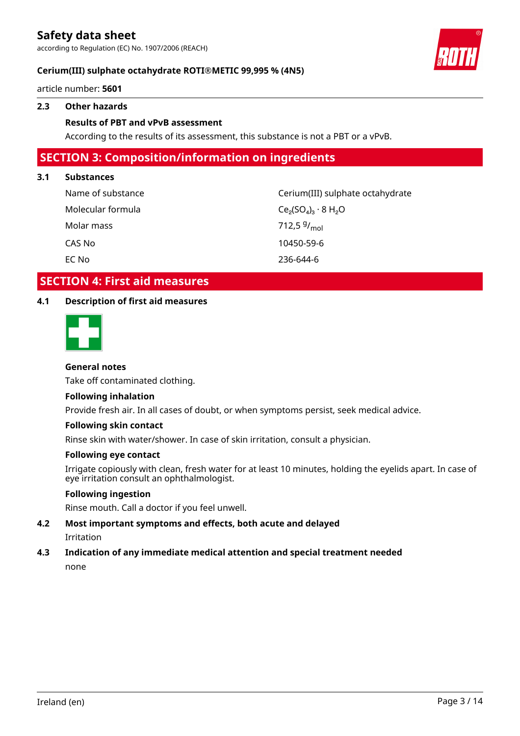according to Regulation (EC) No. 1907/2006 (REACH)



#### **Cerium(III) sulphate octahydrate ROTI®METIC 99,995 % (4N5)**

article number: **5601**

#### **2.3 Other hazards**

#### **Results of PBT and vPvB assessment**

According to the results of its assessment, this substance is not a PBT or a vPvB.

### **SECTION 3: Composition/information on ingredients**

#### **3.1 Substances**

| Name of substance | Cerium(III) sulphate octahydrate |
|-------------------|----------------------------------|
| Molecular formula | $Ce_2(SO_4)_3 \cdot 8 H_2O$      |
| Molar mass        | 712,5 $9/_{\text{mol}}$          |
| CAS No            | 10450-59-6                       |
| EC No             | 236-644-6                        |

### **SECTION 4: First aid measures**

#### **4.1 Description of first aid measures**



#### **General notes**

Take off contaminated clothing.

#### **Following inhalation**

Provide fresh air. In all cases of doubt, or when symptoms persist, seek medical advice.

#### **Following skin contact**

Rinse skin with water/shower. In case of skin irritation, consult a physician.

#### **Following eye contact**

Irrigate copiously with clean, fresh water for at least 10 minutes, holding the eyelids apart. In case of eye irritation consult an ophthalmologist.

#### **Following ingestion**

Rinse mouth. Call a doctor if you feel unwell.

**4.2 Most important symptoms and effects, both acute and delayed** Irritation

#### **4.3 Indication of any immediate medical attention and special treatment needed** none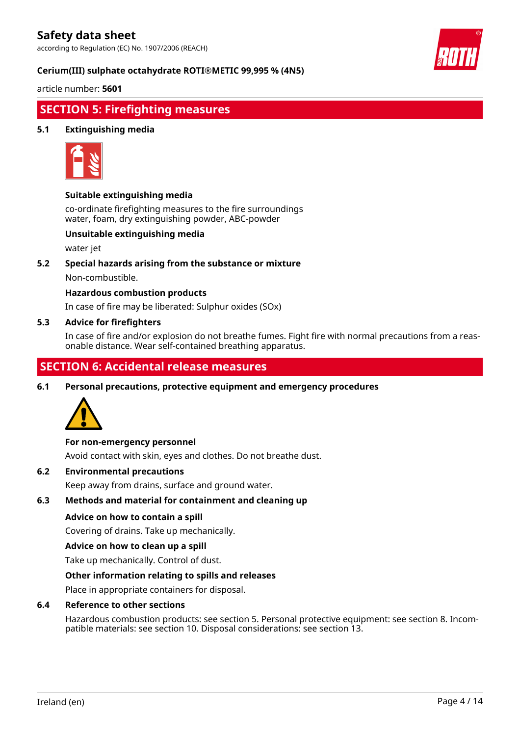according to Regulation (EC) No. 1907/2006 (REACH)



#### **Cerium(III) sulphate octahydrate ROTI®METIC 99,995 % (4N5)**

article number: **5601**

# **SECTION 5: Firefighting measures**

#### **5.1 Extinguishing media**



#### **Suitable extinguishing media**

co-ordinate firefighting measures to the fire surroundings water, foam, dry extinguishing powder, ABC-powder

#### **Unsuitable extinguishing media**

water jet

**5.2 Special hazards arising from the substance or mixture**

Non-combustible.

#### **Hazardous combustion products**

In case of fire may be liberated: Sulphur oxides (SOx)

#### **5.3 Advice for firefighters**

In case of fire and/or explosion do not breathe fumes. Fight fire with normal precautions from a reasonable distance. Wear self-contained breathing apparatus.

### **SECTION 6: Accidental release measures**

**6.1 Personal precautions, protective equipment and emergency procedures**



#### **For non-emergency personnel**

Avoid contact with skin, eyes and clothes. Do not breathe dust.

#### **6.2 Environmental precautions**

Keep away from drains, surface and ground water.

#### **6.3 Methods and material for containment and cleaning up**

#### **Advice on how to contain a spill**

Covering of drains. Take up mechanically.

#### **Advice on how to clean up a spill**

Take up mechanically. Control of dust.

#### **Other information relating to spills and releases**

Place in appropriate containers for disposal.

#### **6.4 Reference to other sections**

Hazardous combustion products: see section 5. Personal protective equipment: see section 8. Incompatible materials: see section 10. Disposal considerations: see section 13.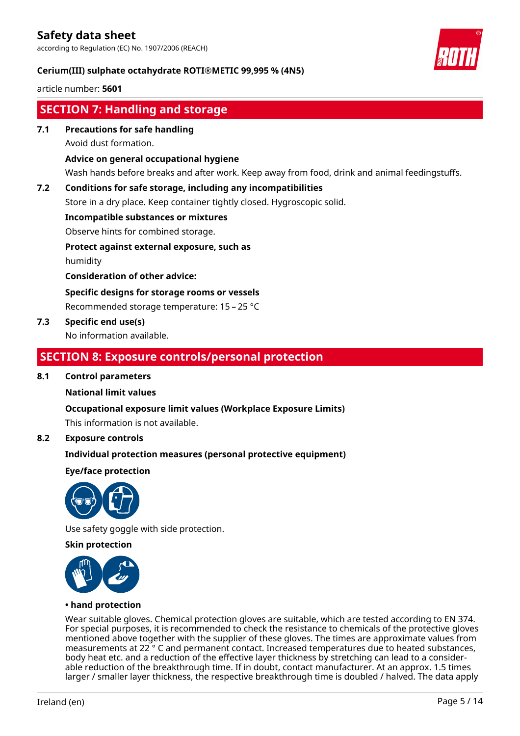according to Regulation (EC) No. 1907/2006 (REACH)

#### **Cerium(III) sulphate octahydrate ROTI®METIC 99,995 % (4N5)**

article number: **5601**

# **SECTION 7: Handling and storage**

**7.1 Precautions for safe handling**

Avoid dust formation.

#### **Advice on general occupational hygiene**

Wash hands before breaks and after work. Keep away from food, drink and animal feedingstuffs.

#### **7.2 Conditions for safe storage, including any incompatibilities**

Store in a dry place. Keep container tightly closed. Hygroscopic solid.

#### **Incompatible substances or mixtures**

Observe hints for combined storage.

#### **Protect against external exposure, such as**

humidity

**Consideration of other advice:**

#### **Specific designs for storage rooms or vessels**

Recommended storage temperature: 15 – 25 °C

**7.3 Specific end use(s)**

No information available.

### **SECTION 8: Exposure controls/personal protection**

#### **8.1 Control parameters**

#### **National limit values**

#### **Occupational exposure limit values (Workplace Exposure Limits)**

This information is not available.

#### **8.2 Exposure controls**

#### **Individual protection measures (personal protective equipment)**

#### **Eye/face protection**



Use safety goggle with side protection.

#### **Skin protection**



#### **• hand protection**

Wear suitable gloves. Chemical protection gloves are suitable, which are tested according to EN 374. For special purposes, it is recommended to check the resistance to chemicals of the protective gloves mentioned above together with the supplier of these gloves. The times are approximate values from measurements at 22 ° C and permanent contact. Increased temperatures due to heated substances, body heat etc. and a reduction of the effective layer thickness by stretching can lead to a considerable reduction of the breakthrough time. If in doubt, contact manufacturer. At an approx. 1.5 times larger / smaller layer thickness, the respective breakthrough time is doubled / halved. The data apply

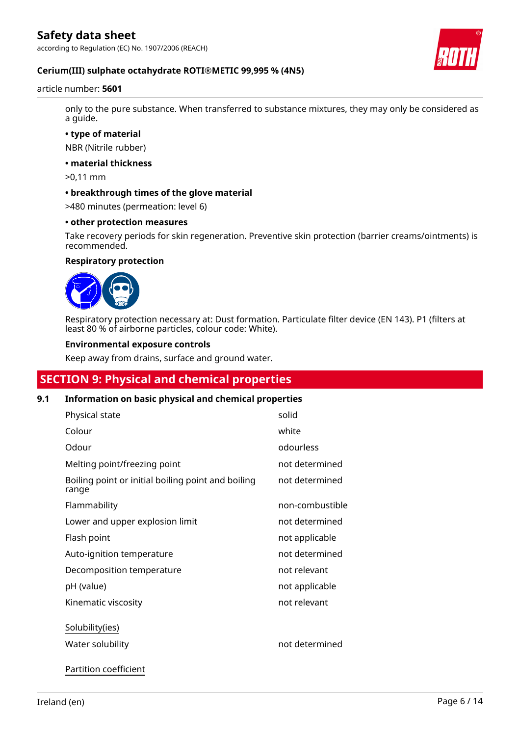according to Regulation (EC) No. 1907/2006 (REACH)



#### **Cerium(III) sulphate octahydrate ROTI®METIC 99,995 % (4N5)**

#### article number: **5601**

only to the pure substance. When transferred to substance mixtures, they may only be considered as a guide.

**• type of material**

NBR (Nitrile rubber)

**• material thickness**

>0,11 mm

**• breakthrough times of the glove material**

>480 minutes (permeation: level 6)

#### **• other protection measures**

Take recovery periods for skin regeneration. Preventive skin protection (barrier creams/ointments) is recommended.

#### **Respiratory protection**



Respiratory protection necessary at: Dust formation. Particulate filter device (EN 143). P1 (filters at least 80 % of airborne particles, colour code: White).

#### **Environmental exposure controls**

Keep away from drains, surface and ground water.

# **SECTION 9: Physical and chemical properties**

#### **9.1 Information on basic physical and chemical properties**

| Physical state                                              | solid           |
|-------------------------------------------------------------|-----------------|
| Colour                                                      | white           |
| Odour                                                       | odourless       |
| Melting point/freezing point                                | not determined  |
| Boiling point or initial boiling point and boiling<br>range | not determined  |
| Flammability                                                | non-combustible |
| Lower and upper explosion limit                             | not determined  |
| Flash point                                                 | not applicable  |
| Auto-ignition temperature                                   | not determined  |
| Decomposition temperature                                   | not relevant    |
| pH (value)                                                  | not applicable  |
| Kinematic viscosity                                         | not relevant    |
| Solubility(ies)                                             |                 |
| Water solubility                                            | not determined  |
| Partition coefficient                                       |                 |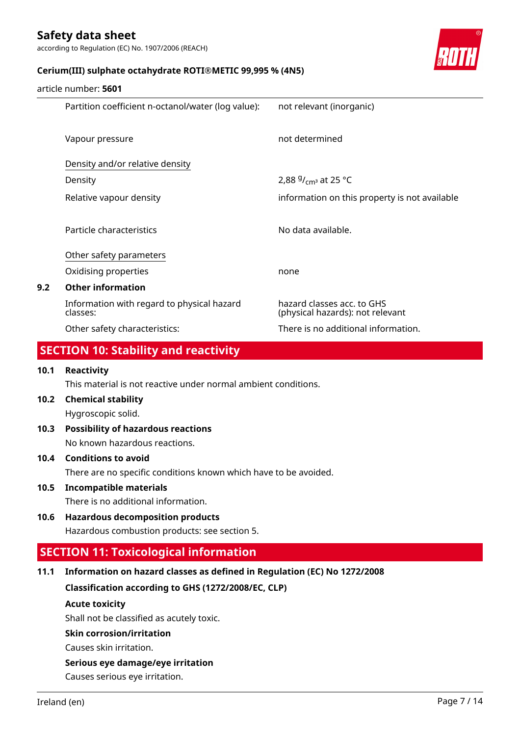according to Regulation (EC) No. 1907/2006 (REACH)



#### **Cerium(III) sulphate octahydrate ROTI®METIC 99,995 % (4N5)**

| article number: 5601 |  |
|----------------------|--|
|                      |  |

|     | Partition coefficient n-octanol/water (log value):     | not relevant (inorganic)                                       |
|-----|--------------------------------------------------------|----------------------------------------------------------------|
|     | Vapour pressure                                        | not determined                                                 |
|     | Density and/or relative density                        |                                                                |
|     | Density                                                | 2,88 $9/$ <sub>cm</sub> at 25 °C                               |
|     | Relative vapour density                                | information on this property is not available                  |
|     |                                                        |                                                                |
|     | Particle characteristics                               | No data available.                                             |
|     | Other safety parameters                                |                                                                |
|     | Oxidising properties                                   | none                                                           |
| 9.2 | <b>Other information</b>                               |                                                                |
|     | Information with regard to physical hazard<br>classes: | hazard classes acc. to GHS<br>(physical hazards): not relevant |
|     | Other safety characteristics:                          | There is no additional information.                            |
|     |                                                        |                                                                |

# **SECTION 10: Stability and reactivity**

#### **10.1 Reactivity**

This material is not reactive under normal ambient conditions.

**10.2 Chemical stability**

Hygroscopic solid.

**10.3 Possibility of hazardous reactions** No known hazardous reactions.

#### **10.4 Conditions to avoid**

There are no specific conditions known which have to be avoided.

**10.5 Incompatible materials**

There is no additional information.

### **10.6 Hazardous decomposition products**

Hazardous combustion products: see section 5.

### **SECTION 11: Toxicological information**

#### **11.1 Information on hazard classes as defined in Regulation (EC) No 1272/2008**

**Classification according to GHS (1272/2008/EC, CLP)**

#### **Acute toxicity**

Shall not be classified as acutely toxic.

#### **Skin corrosion/irritation**

Causes skin irritation.

#### **Serious eye damage/eye irritation**

Causes serious eye irritation.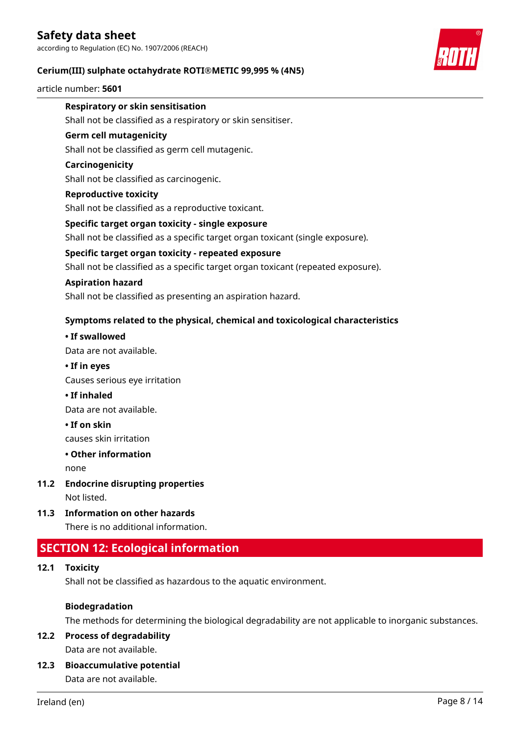according to Regulation (EC) No. 1907/2006 (REACH)

#### **Cerium(III) sulphate octahydrate ROTI®METIC 99,995 % (4N5)**

article number: **5601**



#### **Respiratory or skin sensitisation**

Shall not be classified as a respiratory or skin sensitiser.

#### **Germ cell mutagenicity**

Shall not be classified as germ cell mutagenic.

#### **Carcinogenicity**

Shall not be classified as carcinogenic.

#### **Reproductive toxicity**

Shall not be classified as a reproductive toxicant.

#### **Specific target organ toxicity - single exposure**

Shall not be classified as a specific target organ toxicant (single exposure).

#### **Specific target organ toxicity - repeated exposure**

Shall not be classified as a specific target organ toxicant (repeated exposure).

#### **Aspiration hazard**

Shall not be classified as presenting an aspiration hazard.

#### **Symptoms related to the physical, chemical and toxicological characteristics**

#### **• If swallowed**

Data are not available.

#### **• If in eyes**

Causes serious eye irritation

#### **• If inhaled**

Data are not available.

#### **• If on skin**

causes skin irritation

#### **• Other information**

none

**11.2 Endocrine disrupting properties**

Not listed.

**11.3 Information on other hazards**

There is no additional information.

### **SECTION 12: Ecological information**

#### **12.1 Toxicity**

Shall not be classified as hazardous to the aquatic environment.

#### **Biodegradation**

The methods for determining the biological degradability are not applicable to inorganic substances.

#### **12.2 Process of degradability** Data are not available.

### **12.3 Bioaccumulative potential**

Data are not available.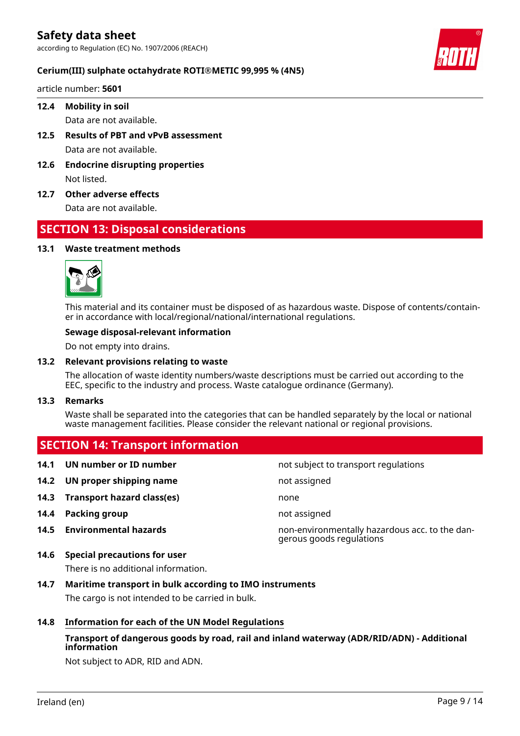according to Regulation (EC) No. 1907/2006 (REACH)

#### **Cerium(III) sulphate octahydrate ROTI®METIC 99,995 % (4N5)**

article number: **5601**

#### **12.4 Mobility in soil**

Data are not available.

- **12.5 Results of PBT and vPvB assessment** Data are not available.
- **12.6 Endocrine disrupting properties** Not listed.
- **12.7 Other adverse effects**

Data are not available.

### **SECTION 13: Disposal considerations**

#### **13.1 Waste treatment methods**



This material and its container must be disposed of as hazardous waste. Dispose of contents/container in accordance with local/regional/national/international regulations.

#### **Sewage disposal-relevant information**

Do not empty into drains.

#### **13.2 Relevant provisions relating to waste**

The allocation of waste identity numbers/waste descriptions must be carried out according to the EEC, specific to the industry and process. Waste catalogue ordinance (Germany).

#### **13.3 Remarks**

Waste shall be separated into the categories that can be handled separately by the local or national waste management facilities. Please consider the relevant national or regional provisions.

#### **SECTION 14: Transport information**

- **14.1 UN number or ID number not subject to transport regulations**
- **14.2 UN proper shipping name** not assigned
- **14.3 Transport hazard class(es)** none
- **14.4 Packing group not assigned not assigned**
- **14.5 Environmental hazards** non-environmentally hazardous acc. to the dan-
- **14.6 Special precautions for user**

There is no additional information.

- **14.7 Maritime transport in bulk according to IMO instruments** The cargo is not intended to be carried in bulk.
- **14.8 Information for each of the UN Model Regulations**

### **Transport of dangerous goods by road, rail and inland waterway (ADR/RID/ADN) - Additional information**

gerous goods regulations

Not subject to ADR, RID and ADN.

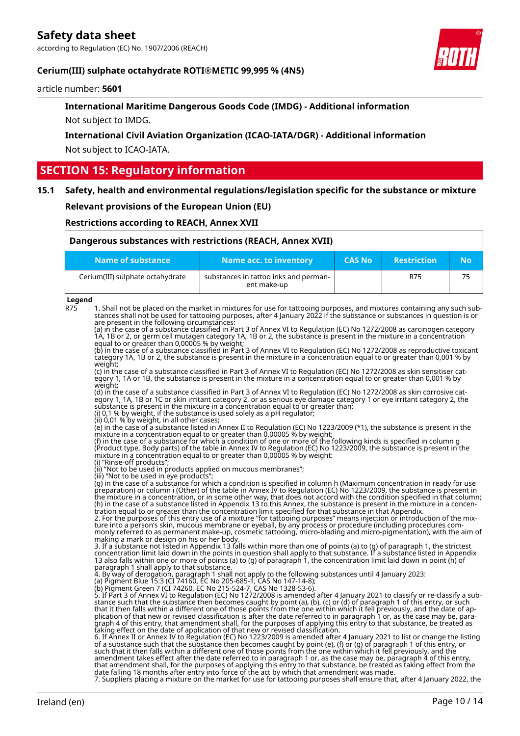according to Regulation (EC) No. 1907/2006 (REACH)



#### **Cerium(III) sulphate octahydrate ROTI®METIC 99,995 % (4N5)**

article number: **5601**

### **International Maritime Dangerous Goods Code (IMDG) - Additional information** Not subject to IMDG.

**International Civil Aviation Organization (ICAO-IATA/DGR) - Additional information** Not subject to ICAO-IATA.

# **SECTION 15: Regulatory information**

#### **15.1 Safety, health and environmental regulations/legislation specific for the substance or mixture**

**Relevant provisions of the European Union (EU)**

**Restrictions according to REACH, Annex XVII**

| Dangerous substances with restrictions (REACH, Annex XVII) |                                                      |               |                    |           |
|------------------------------------------------------------|------------------------------------------------------|---------------|--------------------|-----------|
| Name of substance                                          | Name acc. to inventory                               | <b>CAS No</b> | <b>Restriction</b> | <b>No</b> |
| Cerium(III) sulphate octahydrate                           | substances in tattoo inks and perman-<br>ent make-up |               | R75                | 75        |

#### **Legend**

R75 1. Shall not be placed on the market in mixtures for use for tattooing purposes, and mixtures containing any such substances shall not be used for tattooing purposes, after 4 January 2022 if the substance or substances in question is or are present in the following circumstances:

(a) in the case of a substance classified in Part 3 of Annex VI to Regulation (EC) No 1272/2008 as carcinogen category 1A, 1B or 2, or germ cell mutagen category 1A, 1B or 2, the substance is present in the mixture in a concentration equal to or greater than 0,00005 % by weight;

(b) in the case of a substance classified in Part 3 of Annex VI to Regulation (EC) No 1272/2008 as reproductive toxicant category 1A, 1B or 2, the substance is present in the mixture in a concentration equal to or greater than 0,001 % by weight;

(c) in the case of a substance classified in Part 3 of Annex VI to Regulation (EC) No 1272/2008 as skin sensitiser category 1, 1A or 1B, the substance is present in the mixture in a concentration equal to or greater than 0,001 % by weight;

(d) in the case of a substance classified in Part 3 of Annex VI to Regulation (EC) No 1272/2008 as skin corrosive category 1, 1A, 1B or 1C or skin irritant category 2, or as serious eye damage category 1 or eye irritant category 2, the substance is present in the mixture in a concentration equal to or greater than:

(i) 0,1 % by weight, if the substance is used solely as a pH regulator;

(ii) 0,01 % by weight, in all other cases;

(e) in the case of a substance listed in Annex II to Regulation (EC) No 1223/2009 (\*1), the substance is present in the mixture in a concentration equal to or greater than 0,00005 % by weight;

(f) in the case of a substance for which a condition of one or more of the following kinds is specified in column g (Product type, Body parts) of the table in Annex IV to Regulation (EC) No 1223/2009, the substance is present in the mixture in a concentration equal to or greater than 0,00005 % by weight:

(i) "Rinse-off products"; (ii) "Not to be used in products applied on mucous membranes";

(iii) "Not to be used in eye products";

(g) in the case of a substance for which a condition is specified in column h (Maximum concentration in ready for use preparation) or column i (Other) of the table in Annex IV to Regulation (EC) No 1223/2009, the substance is present in the mixture in a concentration, or in some other way, that does not accord with the condition specified in that column; (h) in the case of a substance listed in Appendix 13 to this Annex, the substance is present in the mixture in a concen-tration equal to or greater than the concentration limit specified for that substance in that Appendix.

2. For the purposes of this entry use of a mixture "for tattooing purposes" means injection or introduction of the mixture into a person's skin, mucous membrane or eyeball, by any process or procedure (including procedures commonly referred to as permanent make-up, cosmetic tattooing, micro-blading and micro-pigmentation), with the aim of making a mark or design on his or her body.

3. If a substance not listed in Appendix 13 falls within more than one of points (a) to (g) of paragraph 1, the strictest concentration limit laid down in the points in question shall apply to that substance. If a substance listed in Appendix 13 also falls within one or more of points (a) to (g) of paragraph 1, the concentration limit laid down in point (h) of paragraph 1 shall apply to that substance.

4. By way of derogation, paragraph 1 shall not apply to the following substances until 4 January 2023:

(a) Pigment Blue 15:3 (CI 74160, EC No 205-685-1, CAS No 147-14-8); (b) Pigment Green 7 (CI 74260, EC No 215-524-7, CAS No 1328-53-6).

5. If Part 3 of Annex VI to Regulation (EC) No 1272/2008 is amended after 4 January 2021 to classify or re-classify a substance such that the substance then becomes caught by point (a), (b), (c) or (d) of paragraph 1 of this entry, or such that it then falls within a different one of those points from the one within which it fell previously, and the date of application of that new or revised classification is after the date referred to in paragraph 1 or, as the case may be, paragraph 4 of this entry, that amendment shall, for the purposes of applying this entry to that substance, be treated as taking effect on the date of application of that new or revised classification.

6. If Annex II or Annex IV to Regulation (EC) No 1223/2009 is amended after 4 January 2021 to list or change the listing of a substance such that the substance then becomes caught by point (e), (f) or (g) of paragraph 1 of this entry, or such that it then falls within a different one of those points from the one within which it fell previously, and the amendment takes effect after the date referred to in paragraph 1 or, as the case may be, paragraph 4 of this entry, that amendment shall, for the purposes of applying this entry to that substance, be treated as taking effect from the date falling 18 months after entry into force of the act by which that amendment was made. 7. Suppliers placing a mixture on the market for use for tattooing purposes shall ensure that, after 4 January 2022, the

Ireland (en) Page 10 / 14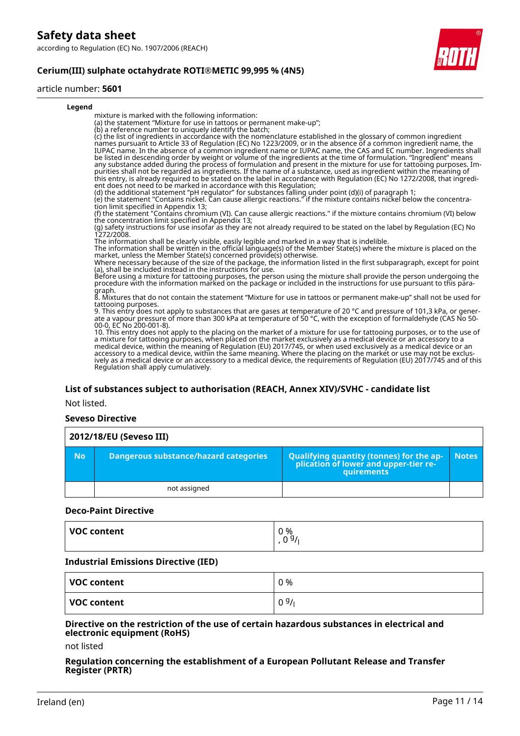according to Regulation (EC) No. 1907/2006 (REACH)

#### **Cerium(III) sulphate octahydrate ROTI®METIC 99,995 % (4N5)**

#### article number: **5601**



#### **List of substances subject to authorisation (REACH, Annex XIV)/SVHC - candidate list**

#### Not listed.

#### **Seveso Directive**

| 2012/18/EU (Seveso III) |                                       |                                                                                            |              |  |
|-------------------------|---------------------------------------|--------------------------------------------------------------------------------------------|--------------|--|
| <b>No</b>               | Dangerous substance/hazard categories | Qualifying quantity (tonnes) for the application of lower and upper-tier re-<br>quirements | <b>Notes</b> |  |
|                         | not assigned                          |                                                                                            |              |  |

#### **Deco-Paint Directive**

| VOC content | 0 %<br>g,<br>$\overline{\phantom{0}}$<br>ັ |
|-------------|--------------------------------------------|
|             |                                            |

#### **Industrial Emissions Directive (IED)**

| VOC content | 0 % |
|-------------|-----|
| VOC content | 09/ |

#### **Directive on the restriction of the use of certain hazardous substances in electrical and electronic equipment (RoHS)**

not listed

#### **Regulation concerning the establishment of a European Pollutant Release and Transfer Register (PRTR)**

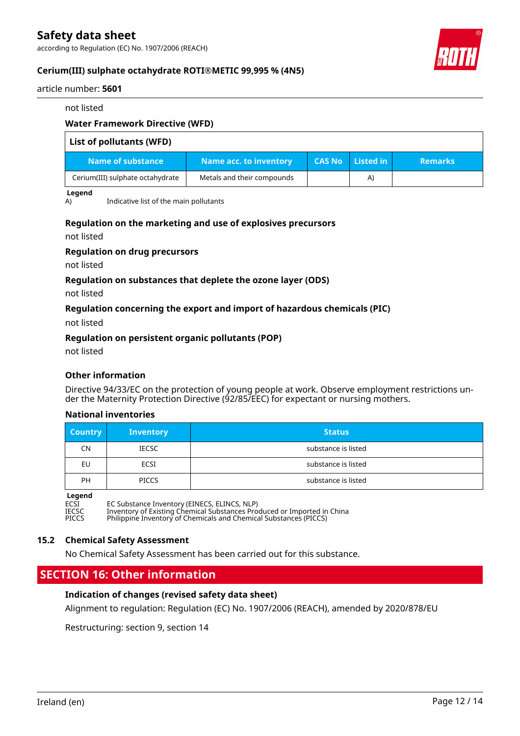according to Regulation (EC) No. 1907/2006 (REACH)



#### **Cerium(III) sulphate octahydrate ROTI®METIC 99,995 % (4N5)**

article number: **5601**

#### not listed

#### **Water Framework Directive (WFD)**

| List of pollutants (WFD)         |                            |               |              |                |
|----------------------------------|----------------------------|---------------|--------------|----------------|
| Name of substance                | Name acc. to inventory     | <b>CAS No</b> | Listed in    | <b>Remarks</b> |
| Cerium(III) sulphate octahydrate | Metals and their compounds |               | $\mathsf{A}$ |                |

#### **Legend**

A) Indicative list of the main pollutants

#### **Regulation on the marketing and use of explosives precursors**

not listed

#### **Regulation on drug precursors**

not listed

#### **Regulation on substances that deplete the ozone layer (ODS)**

not listed

#### **Regulation concerning the export and import of hazardous chemicals (PIC)**

not listed

#### **Regulation on persistent organic pollutants (POP)**

not listed

#### **Other information**

Directive 94/33/EC on the protection of young people at work. Observe employment restrictions under the Maternity Protection Directive (92/85/EEC) for expectant or nursing mothers.

#### **National inventories**

| <b>Country</b> | <b>Inventory</b> | <b>Status</b>       |
|----------------|------------------|---------------------|
| CN             | IECSC            | substance is listed |
| <b>EU</b>      | ECSI             | substance is listed |
| <b>PH</b>      | <b>PICCS</b>     | substance is listed |

#### **Legend**

ECSI EC Substance Inventory (EINECS, ELINCS, NLP)

IECSC Inventory of Existing Chemical Substances Produced or Imported in China PICCS Philippine Inventory of Chemicals and Chemical Substances (PICCS)

#### **15.2 Chemical Safety Assessment**

No Chemical Safety Assessment has been carried out for this substance.

### **SECTION 16: Other information**

#### **Indication of changes (revised safety data sheet)**

Alignment to regulation: Regulation (EC) No. 1907/2006 (REACH), amended by 2020/878/EU

Restructuring: section 9, section 14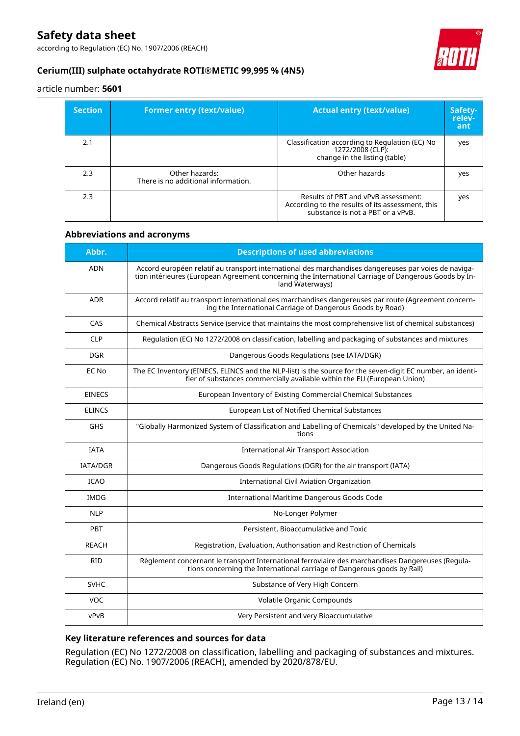according to Regulation (EC) No. 1907/2006 (REACH)



#### **Cerium(III) sulphate octahydrate ROTI®METIC 99,995 % (4N5)**

article number: **5601**

| <b>Section</b> | <b>Former entry (text/value)</b>                      | <b>Actual entry (text/value)</b>                                                                                             | Safety-<br>relev-<br>ant |
|----------------|-------------------------------------------------------|------------------------------------------------------------------------------------------------------------------------------|--------------------------|
| 2.1            |                                                       | Classification according to Regulation (EC) No<br>1272/2008 (CLP):<br>change in the listing (table)                          | yes                      |
| 2.3            | Other hazards:<br>There is no additional information. | Other hazards                                                                                                                | yes                      |
| 2.3            |                                                       | Results of PBT and vPvB assessment:<br>According to the results of its assessment, this<br>substance is not a PBT or a vPvB. | yes                      |

#### **Abbreviations and acronyms**

| Abbr.           | <b>Descriptions of used abbreviations</b>                                                                                                                                                                                       |
|-----------------|---------------------------------------------------------------------------------------------------------------------------------------------------------------------------------------------------------------------------------|
| <b>ADN</b>      | Accord européen relatif au transport international des marchandises dangereuses par voies de naviga-<br>tion intérieures (European Agreement concerning the International Carriage of Dangerous Goods by In-<br>land Waterways) |
| <b>ADR</b>      | Accord relatif au transport international des marchandises dangereuses par route (Agreement concern-<br>ing the International Carriage of Dangerous Goods by Road)                                                              |
| CAS             | Chemical Abstracts Service (service that maintains the most comprehensive list of chemical substances)                                                                                                                          |
| <b>CLP</b>      | Regulation (EC) No 1272/2008 on classification, labelling and packaging of substances and mixtures                                                                                                                              |
| <b>DGR</b>      | Dangerous Goods Regulations (see IATA/DGR)                                                                                                                                                                                      |
| EC No           | The EC Inventory (EINECS, ELINCS and the NLP-list) is the source for the seven-digit EC number, an identi-<br>fier of substances commercially available within the EU (European Union)                                          |
| <b>EINECS</b>   | European Inventory of Existing Commercial Chemical Substances                                                                                                                                                                   |
| <b>ELINCS</b>   | European List of Notified Chemical Substances                                                                                                                                                                                   |
| <b>GHS</b>      | "Globally Harmonized System of Classification and Labelling of Chemicals" developed by the United Na-<br>tions                                                                                                                  |
| <b>IATA</b>     | <b>International Air Transport Association</b>                                                                                                                                                                                  |
| <b>IATA/DGR</b> | Dangerous Goods Regulations (DGR) for the air transport (IATA)                                                                                                                                                                  |
| <b>ICAO</b>     | <b>International Civil Aviation Organization</b>                                                                                                                                                                                |
| <b>IMDG</b>     | International Maritime Dangerous Goods Code                                                                                                                                                                                     |
| <b>NLP</b>      | No-Longer Polymer                                                                                                                                                                                                               |
| PBT             | Persistent, Bioaccumulative and Toxic                                                                                                                                                                                           |
| <b>REACH</b>    | Registration, Evaluation, Authorisation and Restriction of Chemicals                                                                                                                                                            |
| <b>RID</b>      | Règlement concernant le transport International ferroviaire des marchandises Dangereuses (Regula-<br>tions concerning the International carriage of Dangerous goods by Rail)                                                    |
| <b>SVHC</b>     | Substance of Very High Concern                                                                                                                                                                                                  |
| <b>VOC</b>      | Volatile Organic Compounds                                                                                                                                                                                                      |
| vPvB            | Very Persistent and very Bioaccumulative                                                                                                                                                                                        |

#### **Key literature references and sources for data**

Regulation (EC) No 1272/2008 on classification, labelling and packaging of substances and mixtures. Regulation (EC) No. 1907/2006 (REACH), amended by 2020/878/EU.